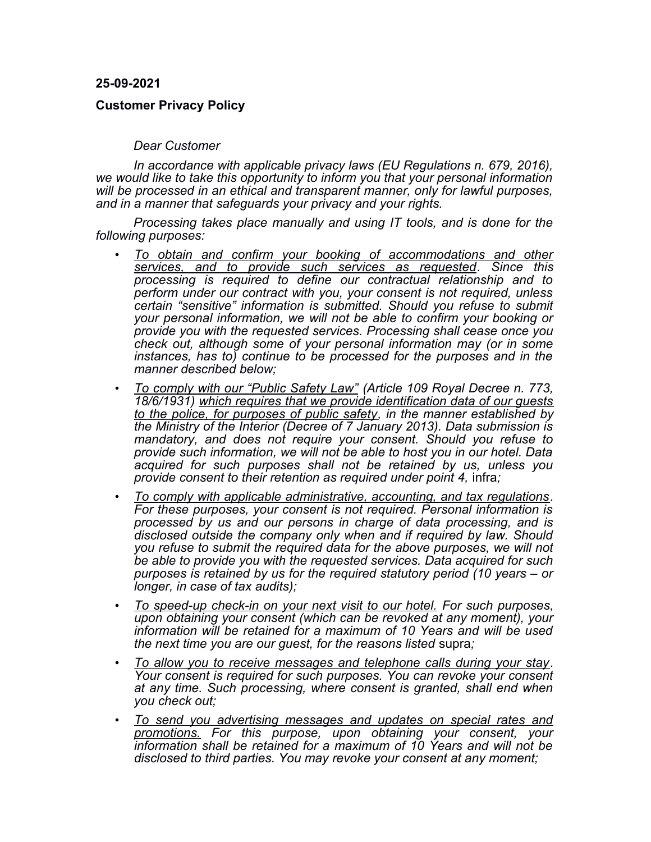**25-09-2021**

## **Customer Privacy Policy**

## *Dear Customer*

*In accordance with applicable privacy laws (EU Regulations n. 679, 2016), we would like to take this opportunity to inform you that your personal information will be processed in an ethical and transparent manner, only for lawful purposes, and in a manner that safeguards your privacy and your rights.*

*Processing takes place manually and using IT tools, and is done for the following purposes:*

- *To obtain and confirm your booking of accommodations and other services, and to provide such services as requested. Since this processing is required to define our contractual relationship and to perform under our contract with you, your consent is not required, unless certain "sensitive" information is submitted. Should you refuse to submit your personal information, we will not be able to confirm your booking or provide you with the requested services. Processing shall cease once you check out, although some of your personal information may (or in some instances, has to) continue to be processed for the purposes and in the manner described below;*
- *To comply with our "Public Safety Law" (Article 109 Royal Decree n. 773, 18/6/1931) which requires that we provide identification data of our guests to the police, for purposes of public safety, in the manner established by the Ministry of the Interior (Decree of 7 January 2013). Data submission is mandatory, and does not require your consent. Should you refuse to provide such information, we will not be able to host you in our hotel. Data acquired for such purposes shall not be retained by us, unless you provide consent to their retention as required under point 4,* infra*;*
- *To comply with applicable administrative, accounting, and tax regulations. For these purposes, your consent is not required. Personal information is processed by us and our persons in charge of data processing, and is disclosed outside the company only when and if required by law. Should you refuse to submit the required data for the above purposes, we will not be able to provide you with the requested services. Data acquired for such purposes is retained by us for the required statutory period (10 years – or longer, in case of tax audits);*
- *To speed-up check-in on your next visit to our hotel. For such purposes, upon obtaining your consent (which can be revoked at any moment), your information will be retained for a maximum of 10 Years and will be used the next time you are our guest, for the reasons listed* supra*;*
- *To allow you to receive messages and telephone calls during your stay. Your consent is required for such purposes. You can revoke your consent at any time. Such processing, where consent is granted, shall end when you check out;*
- *To send you advertising messages and updates on special rates and promotions. For this purpose, upon obtaining your consent, your information shall be retained for a maximum of 10 Years and will not be disclosed to third parties. You may revoke your consent at any moment;*